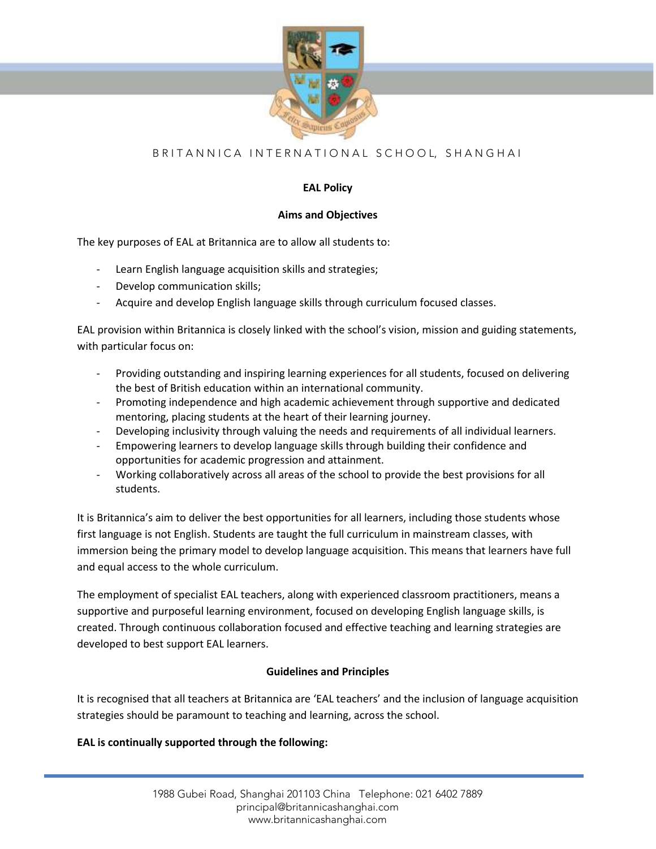

# B R I T A N N I C A I N T E R N A T I O N A L S C H O O L, S H A N G H A I

# **EAL Policy**

## **Aims and Objectives**

The key purposes of EAL at Britannica are to allow all students to:

- Learn English language acquisition skills and strategies;
- Develop communication skills;
- Acquire and develop English language skills through curriculum focused classes.

EAL provision within Britannica is closely linked with the school's vision, mission and guiding statements, with particular focus on:

- Providing outstanding and inspiring learning experiences for all students, focused on delivering the best of British education within an international community.
- Promoting independence and high academic achievement through supportive and dedicated mentoring, placing students at the heart of their learning journey.
- Developing inclusivity through valuing the needs and requirements of all individual learners.
- Empowering learners to develop language skills through building their confidence and opportunities for academic progression and attainment.
- Working collaboratively across all areas of the school to provide the best provisions for all students.

It is Britannica's aim to deliver the best opportunities for all learners, including those students whose first language is not English. Students are taught the full curriculum in mainstream classes, with immersion being the primary model to develop language acquisition. This means that learners have full and equal access to the whole curriculum.

The employment of specialist EAL teachers, along with experienced classroom practitioners, means a supportive and purposeful learning environment, focused on developing English language skills, is created. Through continuous collaboration focused and effective teaching and learning strategies are developed to best support EAL learners.

#### **Guidelines and Principles**

It is recognised that all teachers at Britannica are 'EAL teachers' and the inclusion of language acquisition strategies should be paramount to teaching and learning, across the school.

#### **EAL is continually supported through the following:**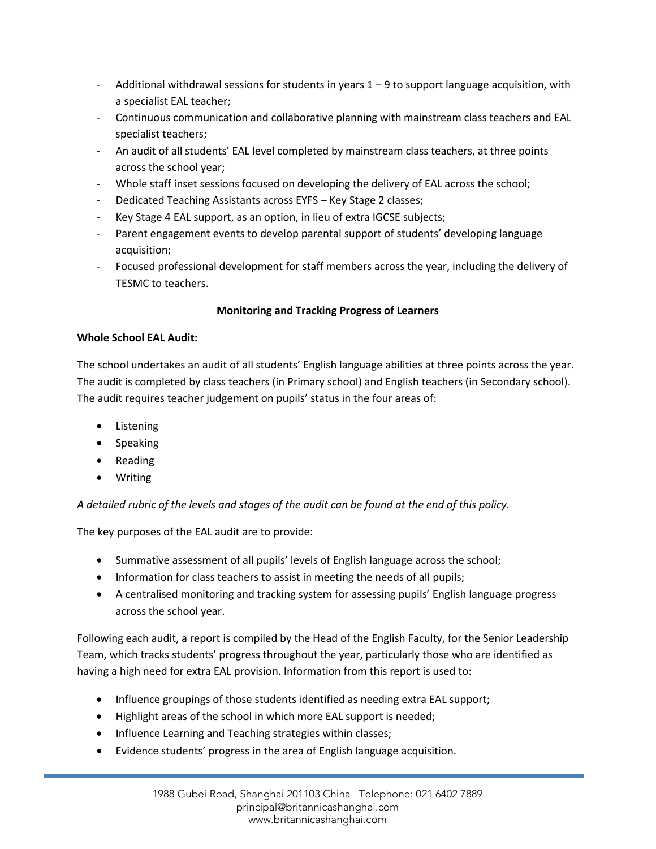- Additional withdrawal sessions for students in years  $1 9$  to support language acquisition, with a specialist EAL teacher;
- Continuous communication and collaborative planning with mainstream class teachers and EAL specialist teachers;
- An audit of all students' EAL level completed by mainstream class teachers, at three points across the school year;
- Whole staff inset sessions focused on developing the delivery of EAL across the school;
- Dedicated Teaching Assistants across EYFS Key Stage 2 classes;
- Key Stage 4 EAL support, as an option, in lieu of extra IGCSE subjects;
- Parent engagement events to develop parental support of students' developing language acquisition;
- Focused professional development for staff members across the year, including the delivery of TESMC to teachers.

# **Monitoring and Tracking Progress of Learners**

# **Whole School EAL Audit:**

The school undertakes an audit of all students' English language abilities at three points across the year. The audit is completed by class teachers (in Primary school) and English teachers (in Secondary school). The audit requires teacher judgement on pupils' status in the four areas of:

- Listening
- Speaking
- Reading
- Writing

*A detailed rubric of the levels and stages of the audit can be found at the end of this policy.* 

The key purposes of the EAL audit are to provide:

- Summative assessment of all pupils' levels of English language across the school;
- Information for class teachers to assist in meeting the needs of all pupils;
- A centralised monitoring and tracking system for assessing pupils' English language progress across the school year.

Following each audit, a report is compiled by the Head of the English Faculty, for the Senior Leadership Team, which tracks students' progress throughout the year, particularly those who are identified as having a high need for extra EAL provision. Information from this report is used to:

- Influence groupings of those students identified as needing extra EAL support;
- Highlight areas of the school in which more EAL support is needed;
- Influence Learning and Teaching strategies within classes;
- Evidence students' progress in the area of English language acquisition.